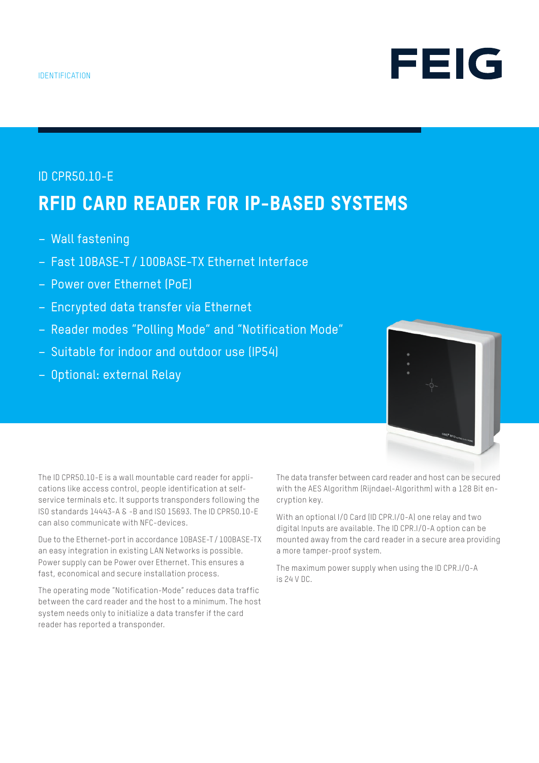# ID CPR50.10-E RFID CARD READER FOR IP-BASED SYSTEMS

- Wall fastening
- Fast 10BASE-T / 100BASE-TX Ethernet Interface
- Power over Ethernet (PoE)
- Encrypted data transfer via Ethernet
- Reader modes "Polling Mode" and "Notification Mode"
- Suitable for indoor and outdoor use (IP54)
- Optional: external Relay



FEIG

The ID CPR50.10-E is a wall mountable card reader for applications like access control, people identification at selfservice terminals etc. It supports transponders following the ISO standards 14443-A & -B and ISO 15693. The ID CPR50.10-E can also communicate with NFC-devices.

Due to the Ethernet-port in accordance 10BASE-T /100BASE-TX an easy integration in existing LAN Networks is possible. Power supply can be Power over Ethernet. This ensures a fast, economical and secure installation process.

The operating mode "Notification-Mode" reduces data traffic between the card reader and the host to a minimum. The host system needs only to initialize a data transfer if the card reader has reported a transponder.

The data transfer between card reader and host can be secured with the AES Algorithm (Rijndael-Algorithm) with a 128 Bit encryption key.

With an optional I/O Card (ID CPR.I/O-A) one relay and two digital Inputs are available. The ID CPR.I/O-A option can be mounted away from the card reader in a secure area providing a more tamper-proof system.

The maximum power supply when using the ID CPR.I/O-A is 24 V DC.